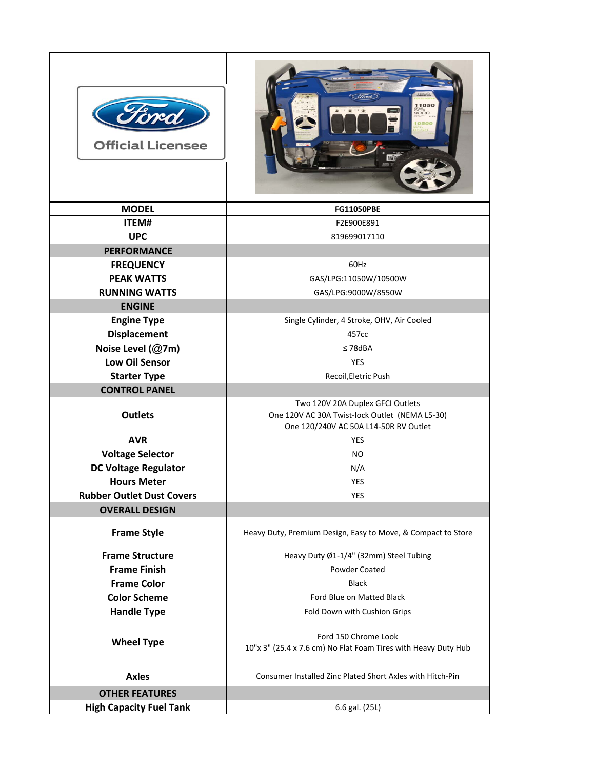| <b>Official Licensee</b>         | 11050<br>$=1$<br>9000<br>0500                                                                                               |
|----------------------------------|-----------------------------------------------------------------------------------------------------------------------------|
| <b>MODEL</b>                     | <b>FG11050PBE</b>                                                                                                           |
| ITEM#                            | F2E900E891                                                                                                                  |
| <b>UPC</b>                       | 819699017110                                                                                                                |
| <b>PERFORMANCE</b>               |                                                                                                                             |
| <b>FREQUENCY</b>                 | 60Hz                                                                                                                        |
| <b>PEAK WATTS</b>                | GAS/LPG:11050W/10500W                                                                                                       |
| <b>RUNNING WATTS</b>             | GAS/LPG:9000W/8550W                                                                                                         |
| <b>ENGINE</b>                    |                                                                                                                             |
| <b>Engine Type</b>               | Single Cylinder, 4 Stroke, OHV, Air Cooled                                                                                  |
| <b>Displacement</b>              | 457cc                                                                                                                       |
| Noise Level (@7m)                | $\leq 78$ dBA                                                                                                               |
| <b>Low Oil Sensor</b>            | <b>YES</b>                                                                                                                  |
| <b>Starter Type</b>              | Recoil, Eletric Push                                                                                                        |
| <b>CONTROL PANEL</b>             |                                                                                                                             |
| <b>Outlets</b>                   | Two 120V 20A Duplex GFCI Outlets<br>One 120V AC 30A Twist-lock Outlet (NEMA L5-30)<br>One 120/240V AC 50A L14-50R RV Outlet |
| <b>AVR</b>                       | <b>YES</b>                                                                                                                  |
| <b>Voltage Selector</b>          | <b>NO</b>                                                                                                                   |
| <b>DC Voltage Regulator</b>      | N/A                                                                                                                         |
| <b>Hours Meter</b>               | <b>YES</b>                                                                                                                  |
| <b>Rubber Outlet Dust Covers</b> | <b>YES</b>                                                                                                                  |
| <b>OVERALL DESIGN</b>            |                                                                                                                             |
| <b>Frame Style</b>               | Heavy Duty, Premium Design, Easy to Move, & Compact to Store                                                                |
| <b>Frame Structure</b>           | Heavy Duty Ø1-1/4" (32mm) Steel Tubing                                                                                      |
| <b>Frame Finish</b>              | <b>Powder Coated</b>                                                                                                        |
| <b>Frame Color</b>               | <b>Black</b>                                                                                                                |
| <b>Color Scheme</b>              | Ford Blue on Matted Black                                                                                                   |
| <b>Handle Type</b>               | Fold Down with Cushion Grips                                                                                                |
| <b>Wheel Type</b>                | Ford 150 Chrome Look<br>10"x 3" (25.4 x 7.6 cm) No Flat Foam Tires with Heavy Duty Hub                                      |
| <b>Axles</b>                     | Consumer Installed Zinc Plated Short Axles with Hitch-Pin                                                                   |
| <b>OTHER FEATURES</b>            |                                                                                                                             |
| <b>High Capacity Fuel Tank</b>   | 6.6 gal. (25L)                                                                                                              |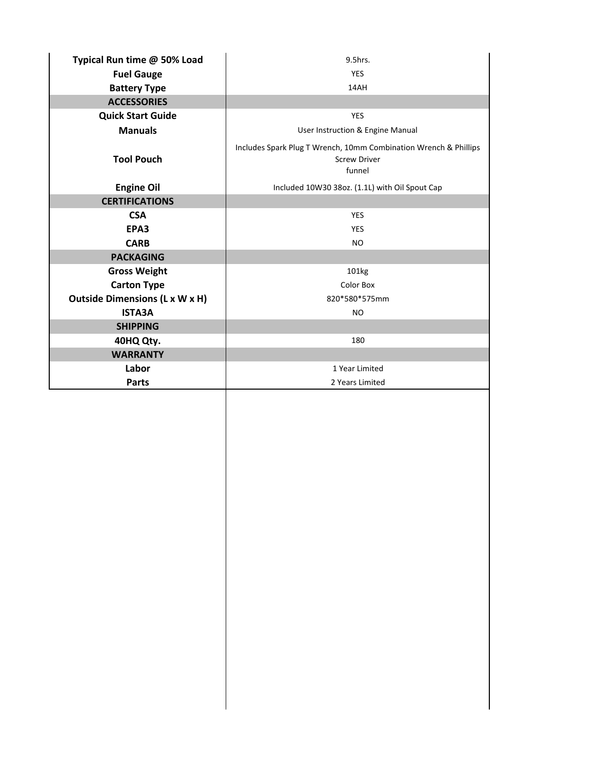| Typical Run time @ 50% Load           | 9.5hrs.                                                          |
|---------------------------------------|------------------------------------------------------------------|
| <b>Fuel Gauge</b>                     | YES                                                              |
| <b>Battery Type</b>                   | 14AH                                                             |
| <b>ACCESSORIES</b>                    |                                                                  |
| <b>Quick Start Guide</b>              | <b>YES</b>                                                       |
| <b>Manuals</b>                        | User Instruction & Engine Manual                                 |
|                                       | Includes Spark Plug T Wrench, 10mm Combination Wrench & Phillips |
| <b>Tool Pouch</b>                     | <b>Screw Driver</b>                                              |
|                                       | funnel                                                           |
| <b>Engine Oil</b>                     | Included 10W30 38oz. (1.1L) with Oil Spout Cap                   |
| <b>CERTIFICATIONS</b>                 |                                                                  |
| <b>CSA</b>                            | YES                                                              |
| EPA3                                  | YES                                                              |
| <b>CARB</b>                           | <b>NO</b>                                                        |
| <b>PACKAGING</b>                      |                                                                  |
| <b>Gross Weight</b>                   | 101kg                                                            |
| <b>Carton Type</b>                    | Color Box                                                        |
| <b>Outside Dimensions (L x W x H)</b> | 820*580*575mm                                                    |
| <b>ISTA3A</b>                         | <b>NO</b>                                                        |
| <b>SHIPPING</b>                       |                                                                  |
| 40HQ Qty.                             | 180                                                              |
| <b>WARRANTY</b>                       |                                                                  |
| Labor                                 | 1 Year Limited                                                   |
| <b>Parts</b>                          | 2 Years Limited                                                  |
|                                       |                                                                  |
|                                       |                                                                  |
|                                       |                                                                  |
|                                       |                                                                  |
|                                       |                                                                  |
|                                       |                                                                  |
|                                       |                                                                  |
|                                       |                                                                  |
|                                       |                                                                  |
|                                       |                                                                  |
|                                       |                                                                  |
|                                       |                                                                  |
|                                       |                                                                  |
|                                       |                                                                  |
|                                       |                                                                  |
|                                       |                                                                  |
|                                       |                                                                  |
|                                       |                                                                  |
|                                       |                                                                  |
|                                       |                                                                  |
|                                       |                                                                  |
|                                       |                                                                  |
|                                       |                                                                  |
|                                       |                                                                  |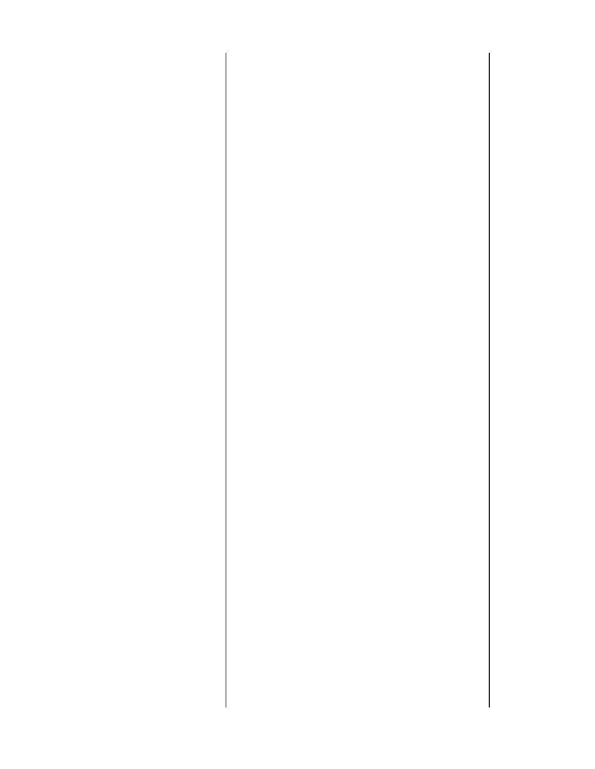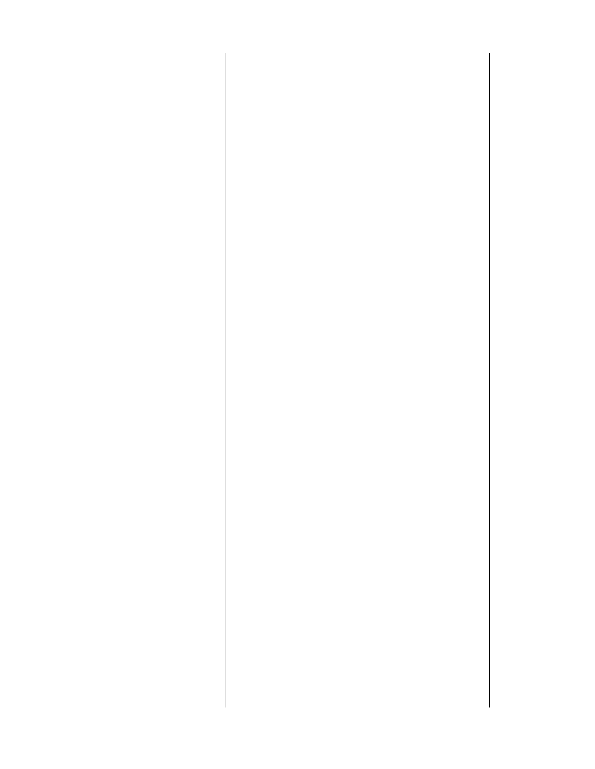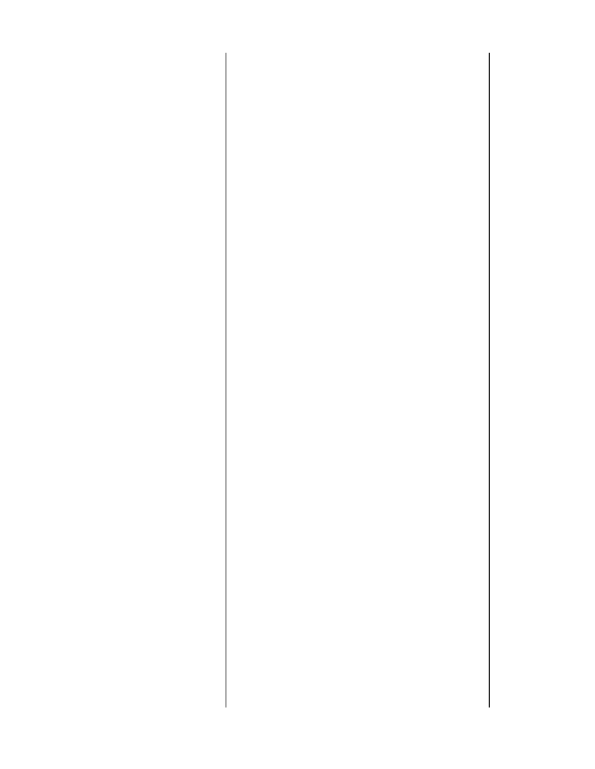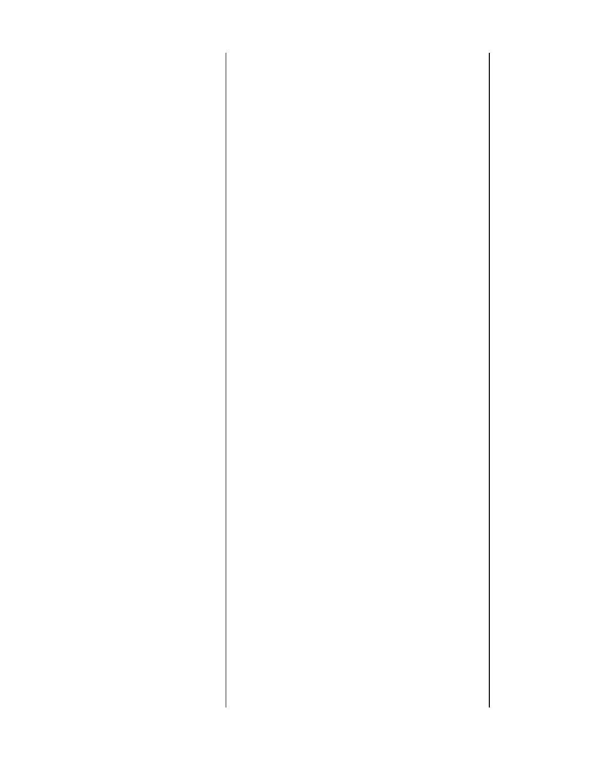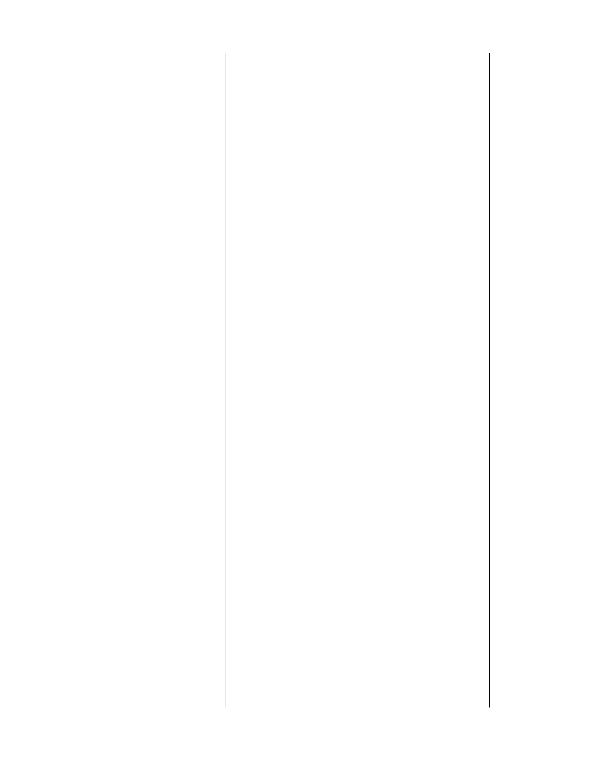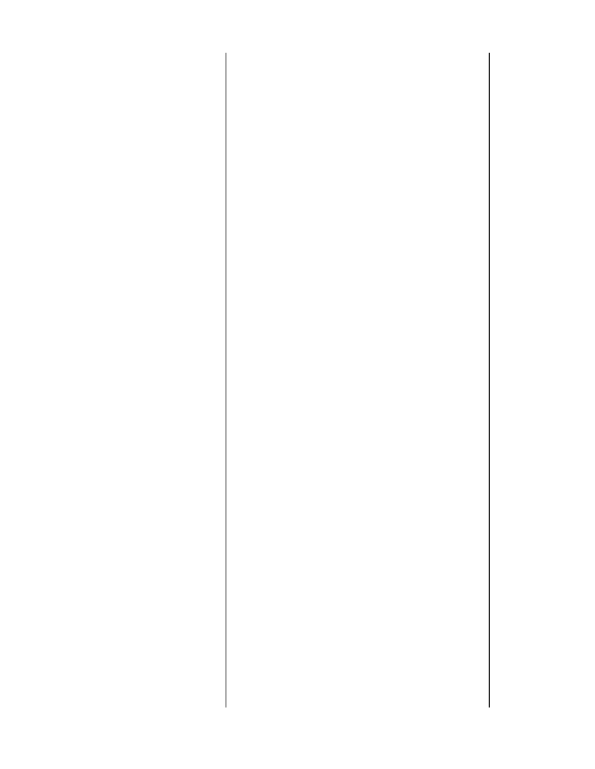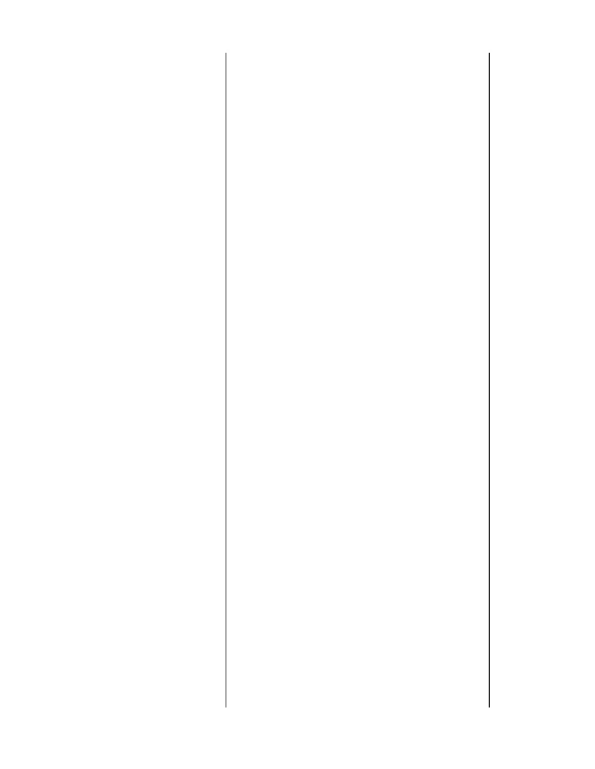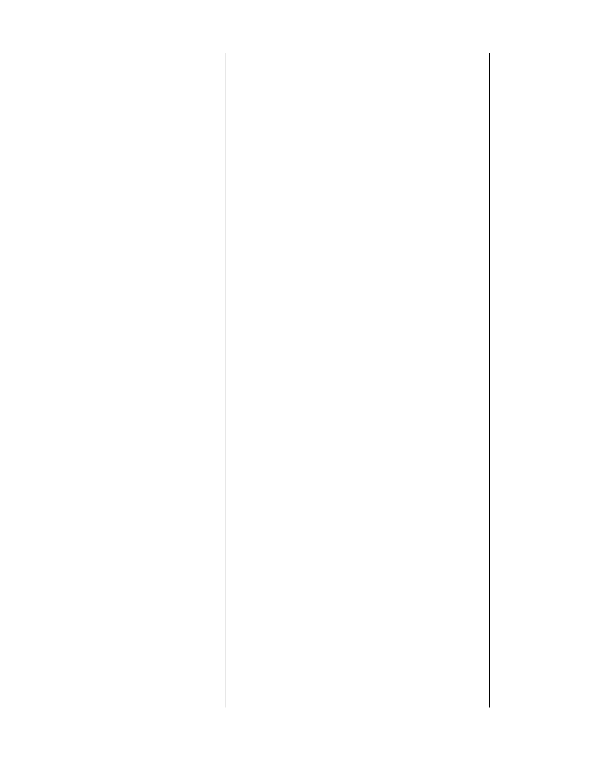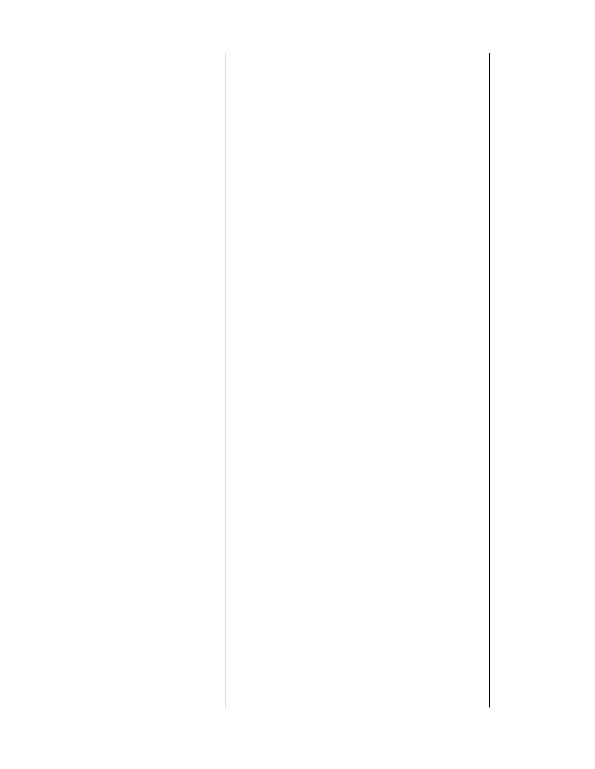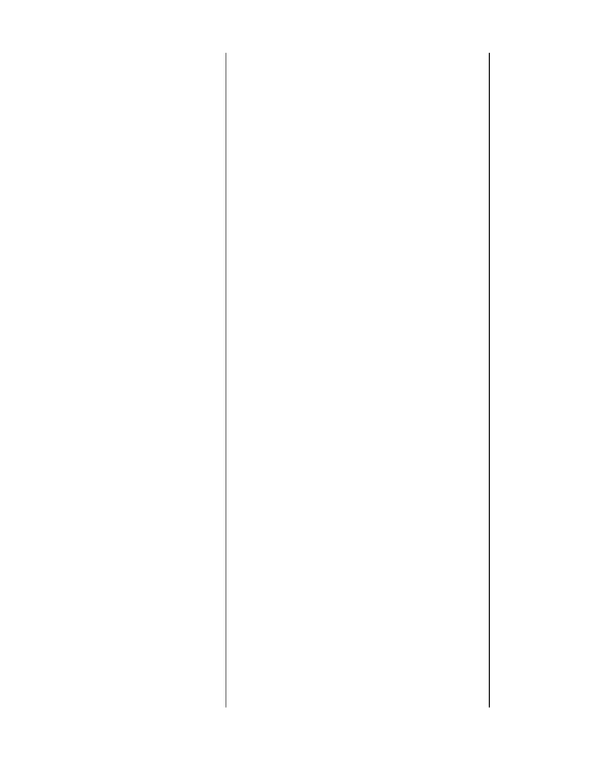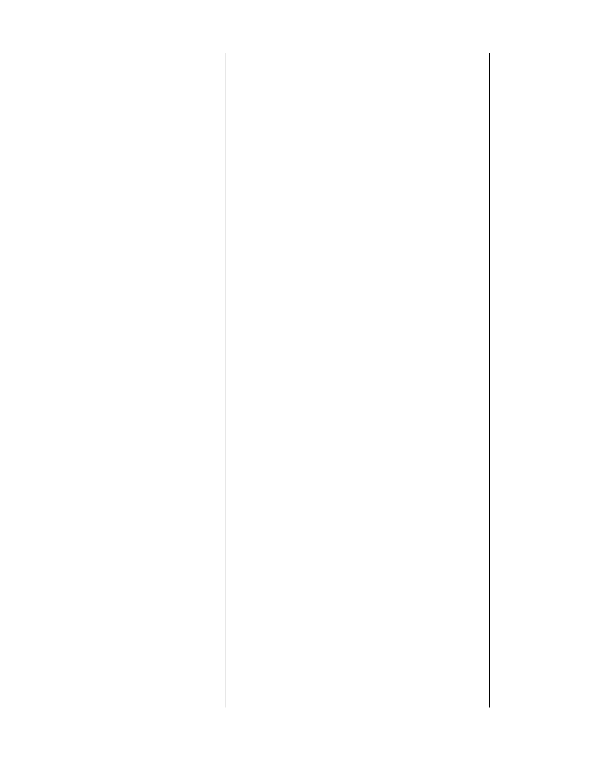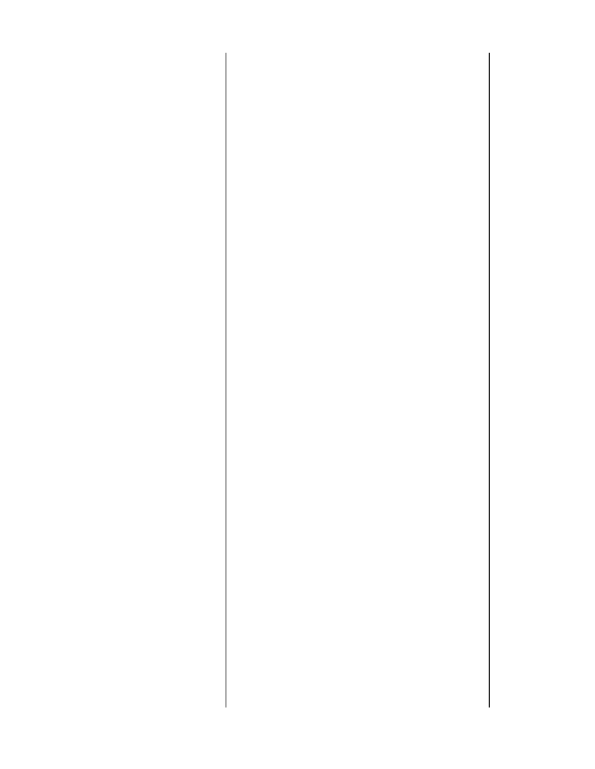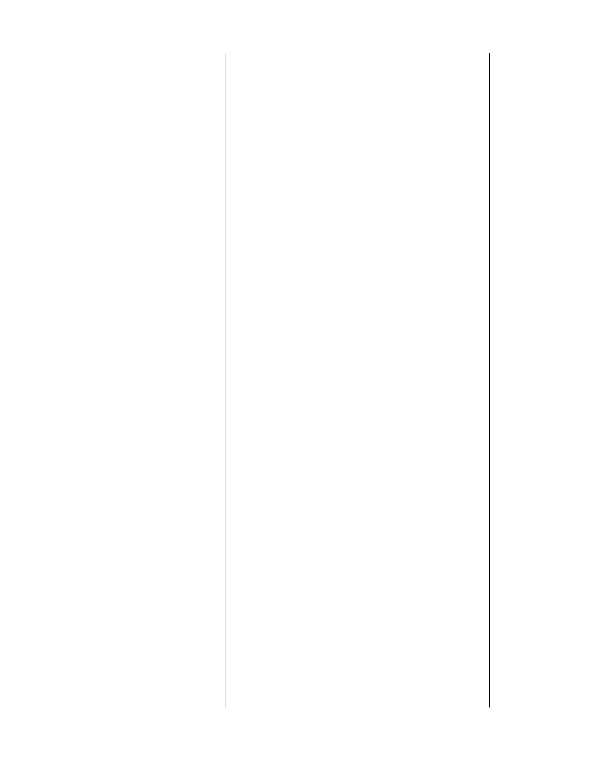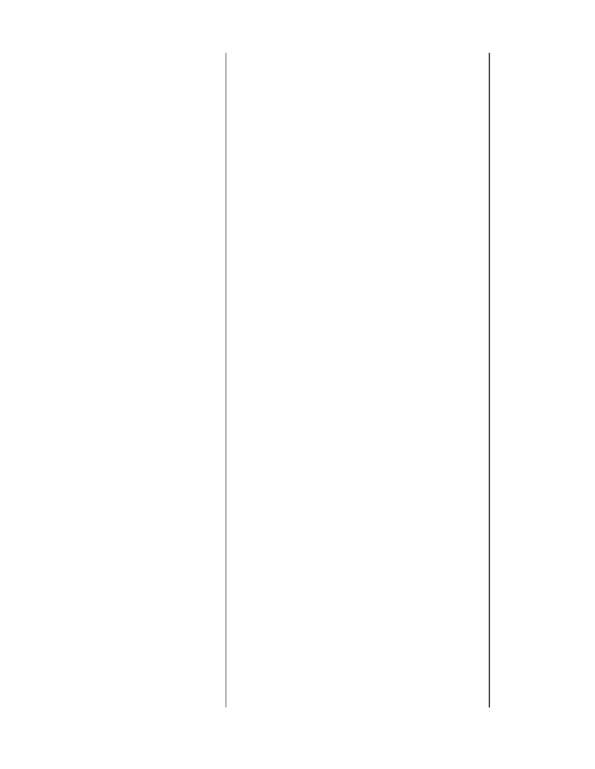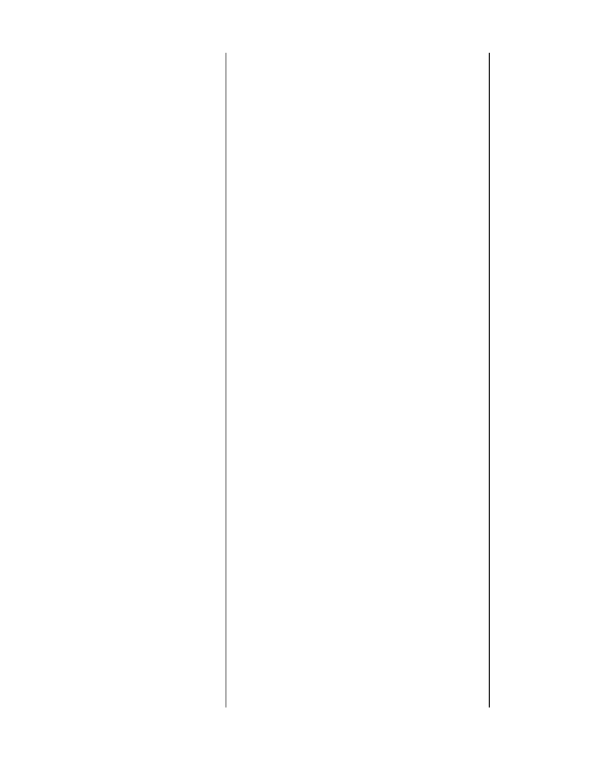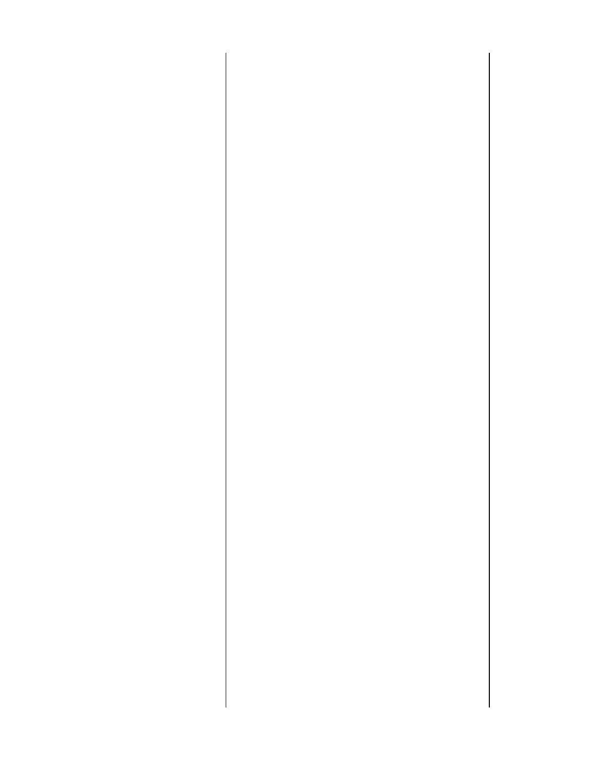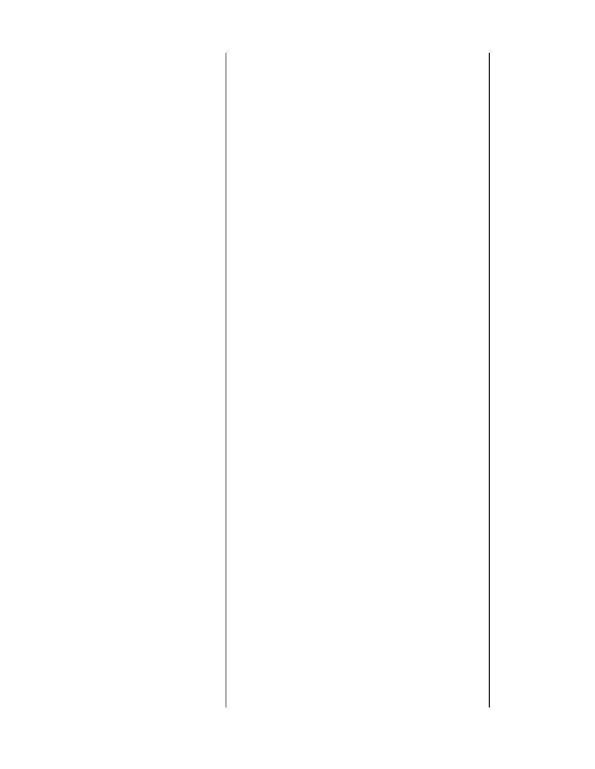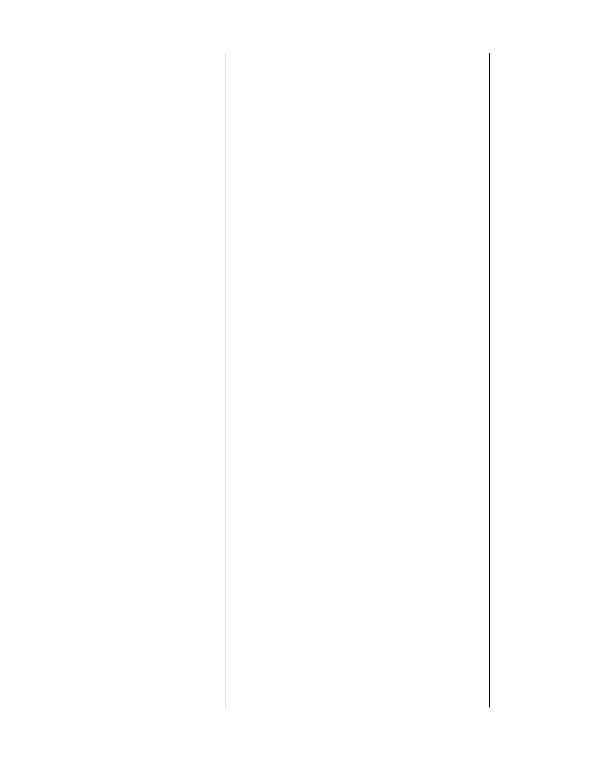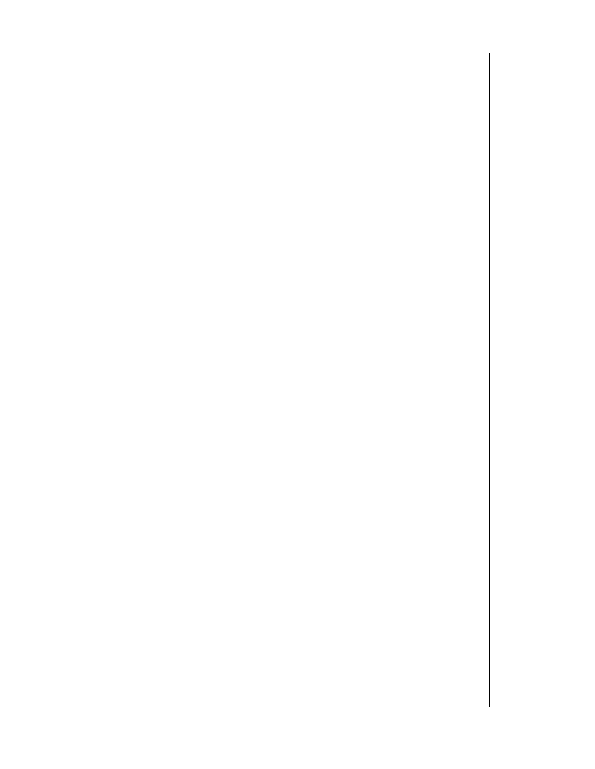